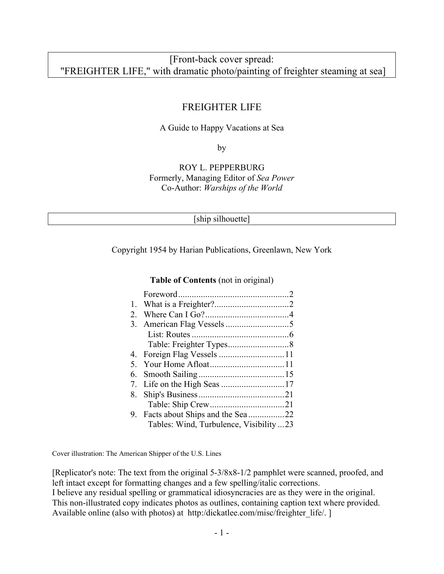# [Front-back cover spread: "FREIGHTER LIFE," with dramatic photo/painting of freighter steaming at sea]

## FREIGHTER LIFE

### A Guide to Happy Vacations at Sea

by

### ROY L. PEPPERBURG Formerly, Managing Editor of *Sea Power* Co-Author: *Warships of the World*

| . . |  |
|-----|--|
|     |  |

Copyright 1954 by Harian Publications, Greenlawn, New York

#### **Table of Contents** (not in original)

| 2. |                                        |  |
|----|----------------------------------------|--|
| 3. |                                        |  |
|    |                                        |  |
|    |                                        |  |
|    |                                        |  |
| 5. |                                        |  |
| 6. |                                        |  |
|    |                                        |  |
| 8. |                                        |  |
|    |                                        |  |
|    |                                        |  |
|    | Tables: Wind, Turbulence, Visibility23 |  |

Cover illustration: The American Shipper of the U.S. Lines

[Replicator's note: The text from the original 5-3/8x8-1/2 pamphlet were scanned, proofed, and left intact except for formatting changes and a few spelling/italic corrections.

I believe any residual spelling or grammatical idiosyncracies are as they were in the original. This non-illustrated copy indicates photos as outlines, containing caption text where provided. Available online (also with photos) at http:/dickatlee.com/misc/freighter life/. ]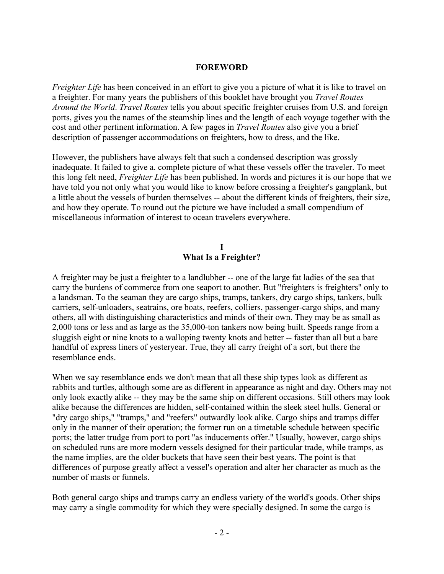### **FOREWORD**

*Freighter Life* has been conceived in an effort to give you a picture of what it is like to travel on a freighter. For many years the publishers of this booklet have brought you *Travel Routes Around the World*. *Travel Routes* tells you about specific freighter cruises from U.S. and foreign ports, gives you the names of the steamship lines and the length of each voyage together with the cost and other pertinent information. A few pages in *Travel Routes* also give you a brief description of passenger accommodations on freighters, how to dress, and the like.

However, the publishers have always felt that such a condensed description was grossly inadequate. It failed to give a. complete picture of what these vessels offer the traveler. To meet this long felt need, *Freighter Life* has been published. In words and pictures it is our hope that we have told you not only what you would like to know before crossing a freighter's gangplank, but a little about the vessels of burden themselves -- about the different kinds of freighters, their size, and how they operate. To round out the picture we have included a small compendium of miscellaneous information of interest to ocean travelers everywhere.

### **I What Is a Freighter?**

A freighter may be just a freighter to a landlubber -- one of the large fat ladies of the sea that carry the burdens of commerce from one seaport to another. But "freighters is freighters" only to a landsman. To the seaman they are cargo ships, tramps, tankers, dry cargo ships, tankers, bulk carriers, self-unloaders, seatrains, ore boats, reefers, colliers, passenger-cargo ships, and many others, all with distinguishing characteristics and minds of their own. They may be as small as 2,000 tons or less and as large as the 35,000-ton tankers now being built. Speeds range from a sluggish eight or nine knots to a walloping twenty knots and better -- faster than all but a bare handful of express liners of yesteryear. True, they all carry freight of a sort, but there the resemblance ends.

When we say resemblance ends we don't mean that all these ship types look as different as rabbits and turtles, although some are as different in appearance as night and day. Others may not only look exactly alike -- they may be the same ship on different occasions. Still others may look alike because the differences are hidden, self-contained within the sleek steel hulls. General or "dry cargo ships," "tramps," and "reefers" outwardly look alike. Cargo ships and tramps differ only in the manner of their operation; the former run on a timetable schedule between specific ports; the latter trudge from port to port "as inducements offer." Usually, however, cargo ships on scheduled runs are more modern vessels designed for their particular trade, while tramps, as the name implies, are the older buckets that have seen their best years. The point is that differences of purpose greatly affect a vessel's operation and alter her character as much as the number of masts or funnels.

Both general cargo ships and tramps carry an endless variety of the world's goods. Other ships may carry a single commodity for which they were specially designed. In some the cargo is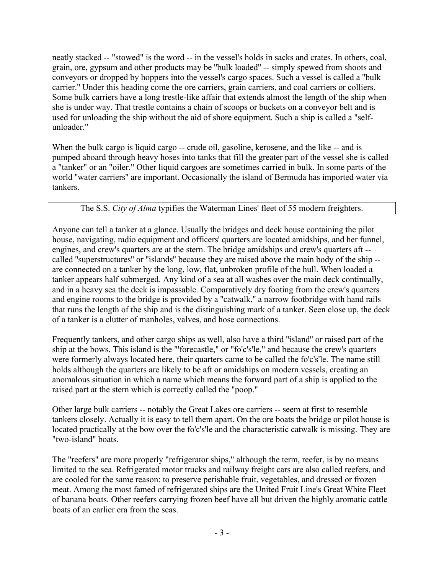neatly stacked -- "stowed" is the word -- in the vessel's holds in sacks and crates. In others, coal, grain, ore, gypsum and other products may be ''bulk loaded'' -- simply spewed from shoots and conveyors or dropped by hoppers into the vessel's cargo spaces. Such a vessel is called a ''bulk carrier.'' Under this heading come the ore carriers, grain carriers, and coal carriers or colliers. Some bulk carriers have a long trestle-like affair that extends almost the length of the ship when she is under way. That trestle contains a chain of scoops or buckets on a conveyor belt and is used for unloading the ship without the aid of shore equipment. Such a ship is called a "selfunloader."

When the bulk cargo is liquid cargo -- crude oil, gasoline, kerosene, and the like -- and is pumped aboard through heavy hoses into tanks that fill the greater part of the vessel she is called a "tanker" or an "oiler." Other liquid cargoes are sometimes carried in bulk. In some parts of the world ''water carriers'' are important. Occasionally the island of Bermuda has imported water via tankers.

## The S.S. *City of Alma* typifies the Waterman Lines' fleet of 55 modern freighters.

Anyone can tell a tanker at a glance. Usually the bridges and deck house containing the pilot house, navigating, radio equipment and officers' quarters are located amidships, and her funnel, engines, and crew's quarters are at the stern. The bridge amidships and crew's quarters aft - called ''superstructures'' or ''islands'' because they are raised above the main body of the ship - are connected on a tanker by the long, low, flat, unbroken profile of the hull. When loaded a tanker appears half submerged. Any kind of a sea at all washes over the main deck continually, and in a heavy sea the deck is impassable. Comparatively dry footing from the crew's quarters and engine rooms to the bridge is provided by a ''catwalk,'' a narrow footbridge with hand rails that runs the length of the ship and is the distinguishing mark of a tanker. Seen close up, the deck of a tanker is a clutter of manholes, valves, and hose connections.

Frequently tankers, and other cargo ships as well, also have a third ''island'' or raised part of the ship at the bows. This island is the "'forecastle," or "fo'c's'le," and because the crew's quarters were formerly always located here, their quarters came to be called the fo'c's'le. The name still holds although the quarters are likely to be aft or amidships on modern vessels, creating an anomalous situation in which a name which means the forward part of a ship is applied to the raised part at the stern which is correctly called the "poop."

Other large bulk carriers -- notably the Great Lakes ore carriers -- seem at first to resemble tankers closely. Actually it is easy to tell them apart. On the ore boats the bridge or pilot house is located practically at the bow over the fo'c's'le and the characteristic catwalk is missing. They are "two-island" boats.

The "reefers" are more properly "refrigerator ships," although the term, reefer, is by no means limited to the sea. Refrigerated motor trucks and railway freight cars are also called reefers, and are cooled for the same reason: to preserve perishable fruit, vegetables, and dressed or frozen meat. Among the most famed of refrigerated ships are the United Fruit Line's Great White Fleet of banana boats. Other reefers carrying frozen beef have all but driven the highly aromatic cattle boats of an earlier era from the seas.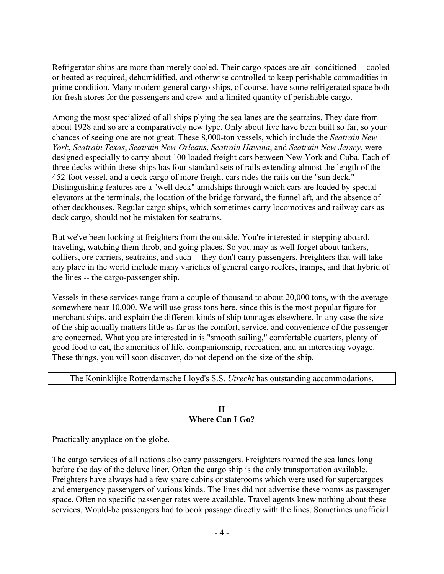Refrigerator ships are more than merely cooled. Their cargo spaces are air- conditioned -- cooled or heated as required, dehumidified, and otherwise controlled to keep perishable commodities in prime condition. Many modern general cargo ships, of course, have some refrigerated space both for fresh stores for the passengers and crew and a limited quantity of perishable cargo.

Among the most specialized of all ships plying the sea lanes are the seatrains. They date from about 1928 and so are a comparatively new type. Only about five have been built so far, so your chances of seeing one are not great. These 8,000-ton vessels, which include the *Seatrain New York*, *Seatrain Texas*, *Seatrain New Orleans*, *Seatrain Havana*, and *Seatrain New Jersey*, were designed especially to carry about 100 loaded freight cars between New York and Cuba. Each of three decks within these ships has four standard sets of rails extending almost the length of the 452-foot vessel, and a deck cargo of more freight cars rides the rails on the "sun deck." Distinguishing features are a "well deck" amidships through which cars are loaded by special elevators at the terminals, the location of the bridge forward, the funnel aft, and the absence of other deckhouses. Regular cargo ships, which sometimes carry locomotives and railway cars as deck cargo, should not be mistaken for seatrains.

But we've been looking at freighters from the outside. You're interested in stepping aboard, traveling, watching them throb, and going places. So you may as well forget about tankers, colliers, ore carriers, seatrains, and such -- they don't carry passengers. Freighters that will take any place in the world include many varieties of general cargo reefers, tramps, and that hybrid of the lines -- the cargo-passenger ship.

Vessels in these services range from a couple of thousand to about 20,000 tons, with the average somewhere near 10,000. We will use gross tons here, since this is the most popular figure for merchant ships, and explain the different kinds of ship tonnages elsewhere. In any case the size of the ship actually matters little as far as the comfort, service, and convenience of the passenger are concerned. What you are interested in is "smooth sailing," comfortable quarters, plenty of good food to eat, the amenities of life, companionship, recreation, and an interesting voyage. These things, you will soon discover, do not depend on the size of the ship.

### The Koninklijke Rotterdamsche Lloyd's S.S. *Utrecht* has outstanding accommodations.

#### **II Where Can I Go?**

Practically anyplace on the globe.

The cargo services of all nations also carry passengers. Freighters roamed the sea lanes long before the day of the deluxe liner. Often the cargo ship is the only transportation available. Freighters have always had a few spare cabins or staterooms which were used for supercargoes and emergency passengers of various kinds. The lines did not advertise these rooms as passenger space. Often no specific passenger rates were available. Travel agents knew nothing about these services. Would-be passengers had to book passage directly with the lines. Sometimes unofficial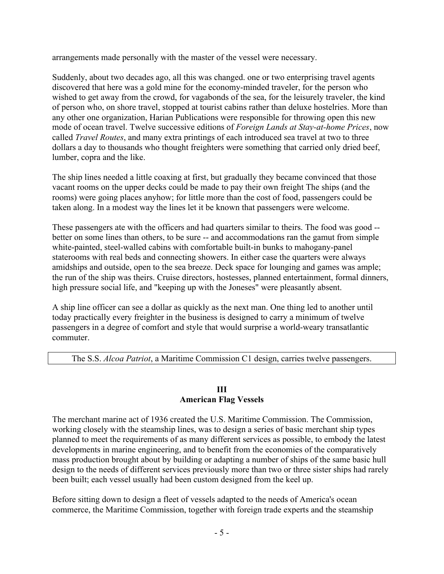arrangements made personally with the master of the vessel were necessary.

Suddenly, about two decades ago, all this was changed. one or two enterprising travel agents discovered that here was a gold mine for the economy-minded traveler, for the person who wished to get away from the crowd, for vagabonds of the sea, for the leisurely traveler, the kind of person who, on shore travel, stopped at tourist cabins rather than deluxe hostelries. More than any other one organization, Harian Publications were responsible for throwing open this new mode of ocean travel. Twelve successive editions of *Foreign Lands at Stay-at-home Prices*, now called *Travel Routes*, and many extra printings of each introduced sea travel at two to three dollars a day to thousands who thought freighters were something that carried only dried beef, lumber, copra and the like.

The ship lines needed a little coaxing at first, but gradually they became convinced that those vacant rooms on the upper decks could be made to pay their own freight The ships (and the rooms) were going places anyhow; for little more than the cost of food, passengers could be taken along. In a modest way the lines let it be known that passengers were welcome.

These passengers ate with the officers and had quarters similar to theirs. The food was good - better on some lines than others, to be sure -- and accommodations ran the gamut from simple white-painted, steel-walled cabins with comfortable built-in bunks to mahogany-panel staterooms with real beds and connecting showers. In either case the quarters were always amidships and outside, open to the sea breeze. Deck space for lounging and games was ample; the run of the ship was theirs. Cruise directors, hostesses, planned entertainment, formal dinners, high pressure social life, and "keeping up with the Joneses" were pleasantly absent.

A ship line officer can see a dollar as quickly as the next man. One thing led to another until today practically every freighter in the business is designed to carry a minimum of twelve passengers in a degree of comfort and style that would surprise a world-weary transatlantic commuter.

The S.S. *Alcoa Patriot*, a Maritime Commission C1 design, carries twelve passengers.

### **III American Flag Vessels**

The merchant marine act of 1936 created the U.S. Maritime Commission. The Commission, working closely with the steamship lines, was to design a series of basic merchant ship types planned to meet the requirements of as many different services as possible, to embody the latest developments in marine engineering, and to benefit from the economies of the comparatively mass production brought about by building or adapting a number of ships of the same basic hull design to the needs of different services previously more than two or three sister ships had rarely been built; each vessel usually had been custom designed from the keel up.

Before sitting down to design a fleet of vessels adapted to the needs of America's ocean commerce, the Maritime Commission, together with foreign trade experts and the steamship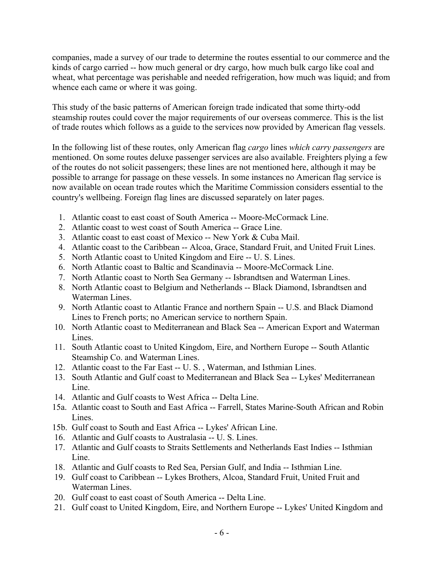companies, made a survey of our trade to determine the routes essential to our commerce and the kinds of cargo carried -- how much general or dry cargo, how much bulk cargo like coal and wheat, what percentage was perishable and needed refrigeration, how much was liquid; and from whence each came or where it was going.

This study of the basic patterns of American foreign trade indicated that some thirty-odd steamship routes could cover the major requirements of our overseas commerce. This is the list of trade routes which follows as a guide to the services now provided by American flag vessels.

In the following list of these routes, only American flag *cargo* lines *which carry passengers* are mentioned. On some routes deluxe passenger services are also available. Freighters plying a few of the routes do not solicit passengers; these lines are not mentioned here, although it may be possible to arrange for passage on these vessels. In some instances no American flag service is now available on ocean trade routes which the Maritime Commission considers essential to the country's wellbeing. Foreign flag lines are discussed separately on later pages.

- 1. Atlantic coast to east coast of South America -- Moore-McCormack Line.
- 2. Atlantic coast to west coast of South America -- Grace Line.
- 3. Atlantic coast to east coast of Mexico -- New York & Cuba Mail.
- 4. Atlantic coast to the Caribbean -- Alcoa, Grace, Standard Fruit, and United Fruit Lines.
- 5. North Atlantic coast to United Kingdom and Eire -- U. S. Lines.
- 6. North Atlantic coast to Baltic and Scandinavia -- Moore-McCormack Line.
- 7. North Atlantic coast to North Sea Germany -- Isbrandtsen and Waterman Lines.
- 8. North Atlantic coast to Belgium and Netherlands -- Black Diamond, Isbrandtsen and Waterman Lines.
- 9. North Atlantic coast to Atlantic France and northern Spain -- U.S. and Black Diamond Lines to French ports; no American service to northern Spain.
- 10. North Atlantic coast to Mediterranean and Black Sea -- American Export and Waterman **Lines**.
- 11. South Atlantic coast to United Kingdom, Eire, and Northern Europe -- South Atlantic Steamship Co. and Waterman Lines.
- 12. Atlantic coast to the Far East -- U. S. , Waterman, and Isthmian Lines.
- 13. South Atlantic and Gulf coast to Mediterranean and Black Sea -- Lykes' Mediterranean Line.
- 14. Atlantic and Gulf coasts to West Africa -- Delta Line.
- 15a. Atlantic coast to South and East Africa -- Farrell, States Marine-South African and Robin **Lines**.
- 15b. Gulf coast to South and East Africa -- Lykes' African Line.
- 16. Atlantic and Gulf coasts to Australasia -- U. S. Lines.
- 17. Atlantic and Gulf coasts to Straits Settlements and Netherlands East Indies -- Isthmian Line.
- 18. Atlantic and Gulf coasts to Red Sea, Persian Gulf, and India -- Isthmian Line.
- 19. Gulf coast to Caribbean -- Lykes Brothers, Alcoa, Standard Fruit, United Fruit and Waterman Lines.
- 20. Gulf coast to east coast of South America -- Delta Line.
- 21. Gulf coast to United Kingdom, Eire, and Northern Europe -- Lykes' United Kingdom and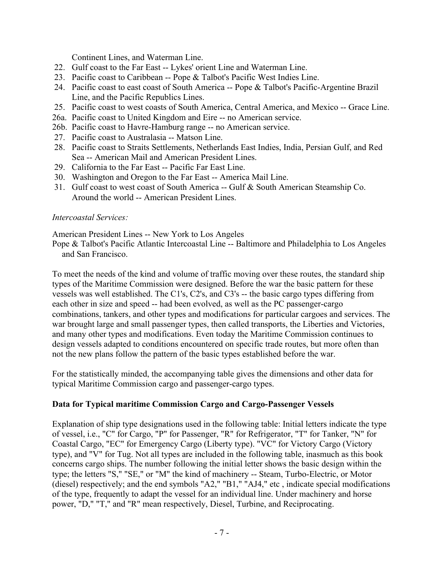Continent Lines, and Waterman Line.

- 22. Gulf coast to the Far East -- Lykes' orient Line and Waterman Line.
- 23. Pacific coast to Caribbean -- Pope & Talbot's Pacific West Indies Line.
- 24. Pacific coast to east coast of South America -- Pope & Talbot's Pacific-Argentine Brazil Line, and the Pacific Republics Lines.
- 25. Pacific coast to west coasts of South America, Central America, and Mexico -- Grace Line.
- 26a. Pacific coast to United Kingdom and Eire -- no American service.
- 26b. Pacific coast to Havre-Hamburg range -- no American service.
- 27. Pacific coast to Australasia -- Matson Line.
- 28. Pacific coast to Straits Settlements, Netherlands East Indies, India, Persian Gulf, and Red Sea -- American Mail and American President Lines.
- 29. California to the Far East -- Pacific Far East Line.
- 30. Washington and Oregon to the Far East -- America Mail Line.
- 31. Gulf coast to west coast of South America -- Gulf & South American Steamship Co. Around the world -- American President Lines.

### *Intercoastal Services:*

American President Lines -- New York to Los Angeles

Pope & Talbot's Pacific Atlantic Intercoastal Line -- Baltimore and Philadelphia to Los Angeles and San Francisco.

To meet the needs of the kind and volume of traffic moving over these routes, the standard ship types of the Maritime Commission were designed. Before the war the basic pattern for these vessels was well established. The C1's, C2's, and C3's -- the basic cargo types differing from each other in size and speed -- had been evolved, as well as the PC passenger-cargo combinations, tankers, and other types and modifications for particular cargoes and services. The war brought large and small passenger types, then called transports, the Liberties and Victories, and many other types and modifications. Even today the Maritime Commission continues to design vessels adapted to conditions encountered on specific trade routes, but more often than not the new plans follow the pattern of the basic types established before the war.

For the statistically minded, the accompanying table gives the dimensions and other data for typical Maritime Commission cargo and passenger-cargo types.

### **Data for Typical maritime Commission Cargo and Cargo-Passenger Vessels**

Explanation of ship type designations used in the following table: Initial letters indicate the type of vessel, i.e., "C" for Cargo, "P" for Passenger, "R" for Refrigerator, "T" for Tanker, "N" for Coastal Cargo, "EC" for Emergency Cargo (Liberty type). "VC" for Victory Cargo (Victory type), and "V" for Tug. Not all types are included in the following table, inasmuch as this book concerns cargo ships. The number following the initial letter shows the basic design within the type; the letters "S," "SE," or "M" the kind of machinery -- Steam, Turbo-Electric, or Motor (diesel) respectively; and the end symbols "A2," "B1," "AJ4," etc , indicate special modifications of the type, frequently to adapt the vessel for an individual line. Under machinery and horse power, "D," "T," and "R" mean respectively, Diesel, Turbine, and Reciprocating.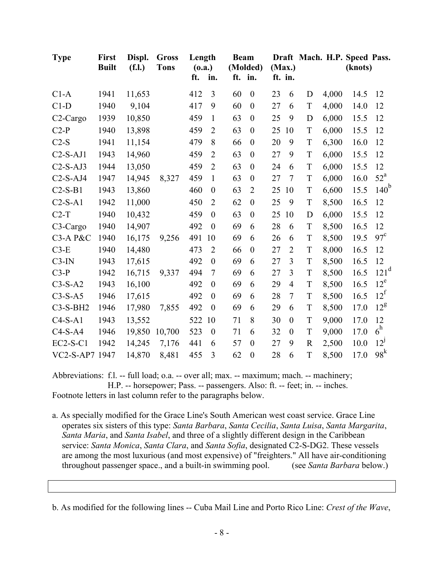| <b>Type</b>    | First<br><b>Built</b> | Displ.<br>(f.l.) | <b>Gross</b><br><b>Tons</b> | Length<br>(0.a.) |                  | <b>Beam</b> | (Molded)         |    | (Max.)         |             |       | Draft Mach. H.P. Speed Pass.<br>(knots) |                   |
|----------------|-----------------------|------------------|-----------------------------|------------------|------------------|-------------|------------------|----|----------------|-------------|-------|-----------------------------------------|-------------------|
|                |                       |                  |                             | ft.              | in.              |             | ft. in.          |    | ft. in.        |             |       |                                         |                   |
| $C1-A$         | 1941                  | 11,653           |                             | 412              | 3                | 60          | $\boldsymbol{0}$ | 23 | 6              | D           | 4,000 | 14.5                                    | 12                |
| $C1-D$         | 1940                  | 9,104            |                             | 417              | 9                | 60          | $\boldsymbol{0}$ | 27 | 6              | $\mathbf T$ | 4,000 | 14.0                                    | 12                |
| $C2-Cargo$     | 1939                  | 10,850           |                             | 459              | $\mathbf{1}$     | 63          | $\boldsymbol{0}$ | 25 | 9              | D           | 6,000 | 15.5                                    | 12                |
| $C2-P$         | 1940                  | 13,898           |                             | 459              | $\overline{2}$   | 63          | $\boldsymbol{0}$ | 25 | 10             | T           | 6,000 | 15.5                                    | 12                |
| $C2-S$         | 1941                  | 11,154           |                             | 479              | 8                | 66          | $\boldsymbol{0}$ | 20 | 9              | T           | 6,300 | 16.0                                    | 12                |
| $C2-S-AJ1$     | 1943                  | 14,960           |                             | 459              | $\overline{2}$   | 63          | $\boldsymbol{0}$ | 27 | 9              | T           | 6,000 | 15.5                                    | 12                |
| $C2-S-AJ3$     | 1944                  | 13,050           |                             | 459              | $\overline{2}$   | 63          | $\boldsymbol{0}$ | 24 | 6              | $\mathbf T$ | 6,000 | 15.5                                    | 12                |
| $C2-S-AJ4$     | 1947                  | 14,945           | 8,327                       | 459              | $\mathbf{1}$     | 63          | $\boldsymbol{0}$ | 27 | $\overline{7}$ | T           | 6,000 | 16.0                                    | $52^{\mathrm{a}}$ |
| $C2-S-B1$      | 1943                  | 13,860           |                             | 460              | $\boldsymbol{0}$ | 63          | $\overline{2}$   | 25 | 10             | T           | 6,600 | 15.5                                    | 140 <sup>b</sup>  |
| $C2-S-A1$      | 1942                  | 11,000           |                             | 450              | $\overline{2}$   | 62          | $\boldsymbol{0}$ | 25 | 9              | T           | 8,500 | 16.5                                    | 12                |
| $C2-T$         | 1940                  | 10,432           |                             | 459              | $\theta$         | 63          | $\boldsymbol{0}$ | 25 | 10             | D           | 6,000 | 15.5                                    | 12                |
| $C3-Cargo$     | 1940                  | 14,907           |                             | 492              | $\boldsymbol{0}$ | 69          | 6                | 28 | 6              | T           | 8,500 | 16.5                                    | 12                |
| C3-A P&C       | 1940                  | 16,175           | 9,256                       | 491              | 10               | 69          | 6                | 26 | 6              | T           | 8,500 | 19.5                                    | $97^{\circ}$      |
| $C3-E$         | 1940                  | 14,480           |                             | 473              | $\overline{2}$   | 66          | $\boldsymbol{0}$ | 27 | $\overline{2}$ | T           | 8,000 | 16.5                                    | 12                |
| $C3-IN$        | 1943                  | 17,615           |                             | 492              | $\overline{0}$   | 69          | 6                | 27 | $\overline{3}$ | T           | 8,500 | 16.5                                    | 12                |
| $C3-P$         | 1942                  | 16,715           | 9,337                       | 494              | $\overline{7}$   | 69          | 6                | 27 | 3              | T           | 8,500 | 16.5                                    | 121 <sup>d</sup>  |
| $C3-S-A2$      | 1943                  | 16,100           |                             | 492              | $\boldsymbol{0}$ | 69          | 6                | 29 | 4              | $\mathbf T$ | 8,500 | 16.5                                    | $12^e$            |
| $C3-S-A5$      | 1946                  | 17,615           |                             | 492              | $\overline{0}$   | 69          | 6                | 28 | $\tau$         | T           | 8,500 | 16.5                                    | $12^f$            |
| $C3-S-BH2$     | 1946                  | 17,980           | 7,855                       | 492              | $\boldsymbol{0}$ | 69          | 6                | 29 | 6              | T           | 8,500 | 17.0                                    | $12^8$            |
| $C4-S-A1$      | 1943                  | 13,552           |                             | 522              | 10               | 71          | 8                | 30 | $\theta$       | T           | 9,000 | 17.0                                    | 12                |
| $C4-S-A4$      | 1946                  | 19,850           | 10,700                      | 523              | $\boldsymbol{0}$ | 71          | 6                | 32 | $\overline{0}$ | T           | 9,000 | 17.0                                    | $6^h$             |
| $EC2-S-C1$     | 1942                  | 14,245           | 7,176                       | 441              | 6                | 57          | $\boldsymbol{0}$ | 27 | 9              | $\mathbf R$ | 2,500 | 10.0                                    | $12^{\mathrm{J}}$ |
| VC2-S-AP7 1947 |                       | 14,870           | 8,481                       | 455              | 3                | 62          | $\boldsymbol{0}$ | 28 | 6              | T           | 8,500 | 17.0                                    | 98 <sup>k</sup>   |

Abbreviations: f.l. -- full load; o.a. -- over all; max. -- maximum; mach. -- machinery; H.P. -- horsepower; Pass. -- passengers. Also: ft. -- feet; in. -- inches. Footnote letters in last column refer to the paragraphs below.

a. As specially modified for the Grace Line's South American west coast service. Grace Line operates six sisters of this type: *Santa Barbara*, *Santa Cecilia*, *Santa Luisa*, *Santa Margarita*, *Santa Maria*, and *Santa Isabel*, and three of a slightly different design in the Caribbean service: *Santa Monica*, *Santa Clara*, and *Santa Sofia*, designated C2-S-DG2. These vessels are among the most luxurious (and most expensive) of "freighters." All have air-conditioning throughout passenger space., and a built-in swimming pool. (see *Santa Barbara* below.)

b. As modified for the following lines -- Cuba Mail Line and Porto Rico Line: *Crest of the Wave*,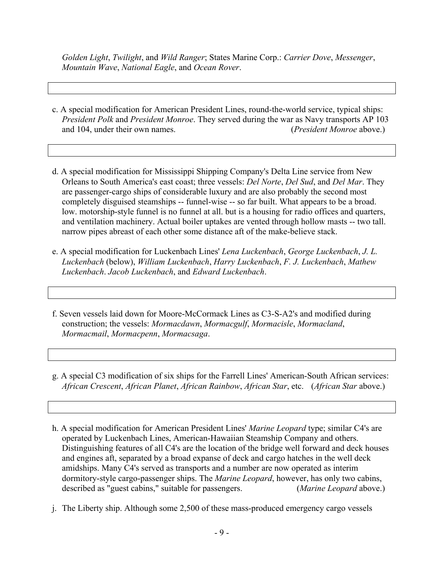*Golden Light*, *Twilight*, and *Wild Ranger*; States Marine Corp.: *Carrier Dove*, *Messenger*, *Mountain Wave*, *National Eagle*, and *Ocean Rover*.

- c. A special modification for American President Lines, round-the-world service, typical ships: *President Polk* and *President Monroe*. They served during the war as Navy transports AP 103 and 104, under their own names. (*President Monroe* above.)
- d. A special modification for Mississippi Shipping Company's Delta Line service from New Orleans to South America's east coast; three vessels: *Del Norte*, *Del Sud*, and *Del Mar*. They are passenger-cargo ships of considerable luxury and are also probably the second most completely disguised steamships -- funnel-wise -- so far built. What appears to be a broad. low. motorship-style funnel is no funnel at all. but is a housing for radio offices and quarters, and ventilation machinery. Actual boiler uptakes are vented through hollow masts -- two tall. narrow pipes abreast of each other some distance aft of the make-believe stack.
- e. A special modification for Luckenbach Lines' *Lena Luckenbach*, *George Luckenbach*, *J. L. Luckenbach* (below), *William Luckenbach*, *Harry Luckenbach*, *F. J. Luckenbach*, *Mathew Luckenbach*. *Jacob Luckenbach*, and *Edward Luckenbach*.
- f. Seven vessels laid down for Moore-McCormack Lines as C3-S-A2's and modified during construction; the vessels: *Mormacdawn*, *Mormacgulf*, *Mormacisle*, *Mormacland*, *Mormacmail*, *Mormacpenn*, *Mormacsaga*.
- g. A special C3 modification of six ships for the Farrell Lines' American-South African services: *African Crescent*, *African Planet*, *African Rainbow*, *African Star*, etc. (*African Star* above.)
- h. A special modification for American President Lines' *Marine Leopard* type; similar C4's are operated by Luckenbach Lines, American-Hawaiian Steamship Company and others. Distinguishing features of all C4's are the location of the bridge well forward and deck houses and engines aft, separated by a broad expanse of deck and cargo hatches in the well deck amidships. Many C4's served as transports and a number are now operated as interim dormitory-style cargo-passenger ships. The *Marine Leopard*, however, has only two cabins, described as "guest cabins," suitable for passengers. (*Marine Leopard* above.) described as "guest cabins," suitable for passengers.
- j. The Liberty ship. Although some 2,500 of these mass-produced emergency cargo vessels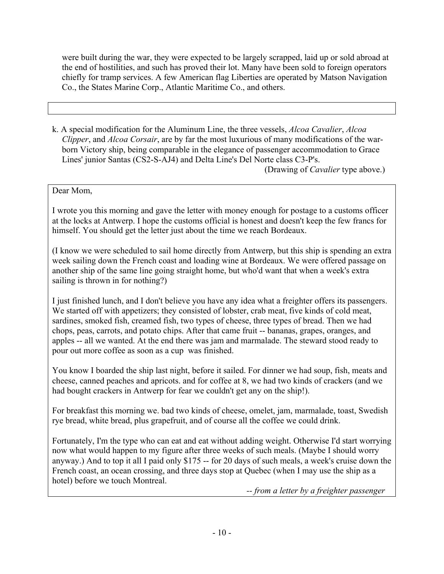were built during the war, they were expected to be largely scrapped, laid up or sold abroad at the end of hostilities, and such has proved their lot. Many have been sold to foreign operators chiefly for tramp services. A few American flag Liberties are operated by Matson Navigation Co., the States Marine Corp., Atlantic Maritime Co., and others.

k. A special modification for the Aluminum Line, the three vessels, *Alcoa Cavalier*, *Alcoa Clipper*, and *Alcoa Corsair*, are by far the most luxurious of many modifications of the warborn Victory ship, being comparable in the elegance of passenger accommodation to Grace Lines' junior Santas (CS2-S-AJ4) and Delta Line's Del Norte class C3-P's.

(Drawing of *Cavalier* type above.)

## Dear Mom,

I wrote you this morning and gave the letter with money enough for postage to a customs officer at the locks at Antwerp. I hope the customs official is honest and doesn't keep the few francs for himself. You should get the letter just about the time we reach Bordeaux.

(I know we were scheduled to sail home directly from Antwerp, but this ship is spending an extra week sailing down the French coast and loading wine at Bordeaux. We were offered passage on another ship of the same line going straight home, but who'd want that when a week's extra sailing is thrown in for nothing?)

I just finished lunch, and I don't believe you have any idea what a freighter offers its passengers. We started off with appetizers; they consisted of lobster, crab meat, five kinds of cold meat, sardines, smoked fish, creamed fish, two types of cheese, three types of bread. Then we had chops, peas, carrots, and potato chips. After that came fruit -- bananas, grapes, oranges, and apples -- all we wanted. At the end there was jam and marmalade. The steward stood ready to pour out more coffee as soon as a cup was finished.

You know I boarded the ship last night, before it sailed. For dinner we had soup, fish, meats and cheese, canned peaches and apricots. and for coffee at 8, we had two kinds of crackers (and we had bought crackers in Antwerp for fear we couldn't get any on the ship!).

For breakfast this morning we. bad two kinds of cheese, omelet, jam, marmalade, toast, Swedish rye bread, white bread, plus grapefruit, and of course all the coffee we could drink.

Fortunately, I'm the type who can eat and eat without adding weight. Otherwise I'd start worrying now what would happen to my figure after three weeks of such meals. (Maybe I should worry anyway.) And to top it all I paid only \$175 -- for 20 days of such meals, a week's cruise down the French coast, an ocean crossing, and three days stop at Quebec (when I may use the ship as a hotel) before we touch Montreal.

*-- from a letter by a freighter passenger*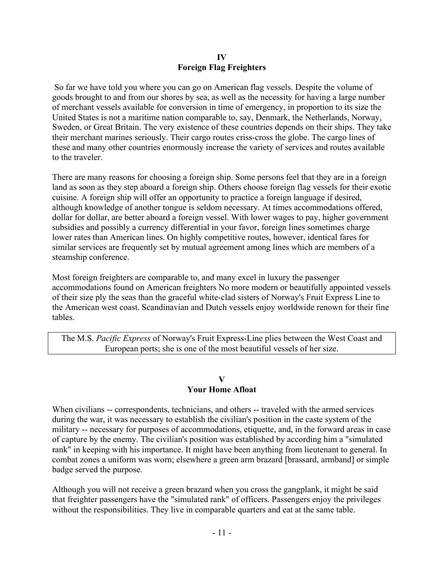### **IV Foreign Flag Freighters**

 So far we have told you where you can go on American flag vessels. Despite the volume of goods brought to and from our shores by sea, as well as the necessity for having a large number of merchant vessels available for conversion in time of emergency, in proportion to its size the United States is not a maritime nation comparable to, say, Denmark, the Netherlands, Norway, Sweden, or Great Britain. The very existence of these countries depends on their ships. They take their merchant marines seriously. Their cargo routes criss-cross the globe. The cargo lines of these and many other countries enormously increase the variety of services and routes available to the traveler.

There are many reasons for choosing a foreign ship. Some persons feel that they are in a foreign land as soon as they step aboard a foreign ship. Others choose foreign flag vessels for their exotic cuisine. A foreign ship will offer an opportunity to practice a foreign language if desired, although knowledge of another tongue is seldom necessary. At times accommodations offered, dollar for dollar, are better aboard a foreign vessel. With lower wages to pay, higher government subsidies and possibly a currency differential in your favor, foreign lines sometimes charge lower rates than American lines. On highly competitive routes, however, identical fares for similar services are frequently set by mutual agreement among lines which are members of a steamship conference.

Most foreign freighters are comparable to, and many excel in luxury the passenger accommodations found on American freighters No more modern or beautifully appointed vessels of their size ply the seas than the graceful white-clad sisters of Norway's Fruit Express Line to the American west coast. Scandinavian and Dutch vessels enjoy worldwide renown for their fine tables.

The M.S. *Pacific Express* of Norway's Fruit Express-Line plies between the West Coast and European ports; she is one of the most beautiful vessels of her size.

#### **V Your Home Afloat**

When civilians -- correspondents, technicians, and others -- traveled with the armed services during the war, it was necessary to establish the civilian's position in the caste system of the military -- necessary for purposes of accommodations, etiquette, and, in the forward areas in case of capture by the enemy. The civilian's position was established by according him a "simulated rank" in keeping with his importance. It might have been anything from lieutenant to general. In combat zones a uniform was worn; elsewhere a green arm brazard [brassard, armband] or simple badge served the purpose.

Although you will not receive a green brazard when you cross the gangplank, it might be said that freighter passengers have the "simulated rank" of officers. Passengers enjoy the privileges without the responsibilities. They live in comparable quarters and eat at the same table.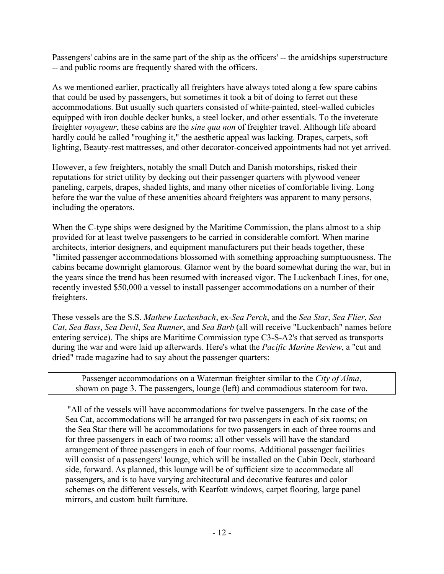Passengers' cabins are in the same part of the ship as the officers' -- the amidships superstructure -- and public rooms are frequently shared with the officers.

As we mentioned earlier, practically all freighters have always toted along a few spare cabins that could be used by passengers, but sometimes it took a bit of doing to ferret out these accommodations. But usually such quarters consisted of white-painted, steel-walled cubicles equipped with iron double decker bunks, a steel locker, and other essentials. To the inveterate freighter *voyageur*, these cabins are the *sine qua non* of freighter travel. Although life aboard hardly could be called "roughing it," the aesthetic appeal was lacking. Drapes, carpets, soft lighting, Beauty-rest mattresses, and other decorator-conceived appointments had not yet arrived.

However, a few freighters, notably the small Dutch and Danish motorships, risked their reputations for strict utility by decking out their passenger quarters with plywood veneer paneling, carpets, drapes, shaded lights, and many other niceties of comfortable living. Long before the war the value of these amenities aboard freighters was apparent to many persons, including the operators.

When the C-type ships were designed by the Maritime Commission, the plans almost to a ship provided for at least twelve passengers to be carried in considerable comfort. When marine architects, interior designers, and equipment manufacturers put their heads together, these "limited passenger accommodations blossomed with something approaching sumptuousness. The cabins became downright glamorous. Glamor went by the board somewhat during the war, but in the years since the trend has been resumed with increased vigor. The Luckenbach Lines, for one, recently invested \$50,000 a vessel to install passenger accommodations on a number of their freighters.

These vessels are the S.S. *Mathew Luckenbach*, ex-*Sea Perch*, and the *Sea Star*, *Sea Flier*, *Sea Cat*, *Sea Bass*, *Sea Devil*, *Sea Runner*, and *Sea Barb* (all will receive "Luckenbach" names before entering service). The ships are Maritime Commission type C3-S-A2's that served as transports during the war and were laid up afterwards. Here's what the *Pacific Marine Review*, a "cut and dried" trade magazine had to say about the passenger quarters:

Passenger accommodations on a Waterman freighter similar to the *City of Alma*, shown on page 3. The passengers, lounge (left) and commodious stateroom for two.

 "All of the vessels will have accommodations for twelve passengers. In the case of the Sea Cat, accommodations will be arranged for two passengers in each of six rooms; on the Sea Star there will be accommodations for two passengers in each of three rooms and for three passengers in each of two rooms; all other vessels will have the standard arrangement of three passengers in each of four rooms. Additional passenger facilities will consist of a passengers' lounge, which will be installed on the Cabin Deck, starboard side, forward. As planned, this lounge will be of sufficient size to accommodate all passengers, and is to have varying architectural and decorative features and color schemes on the different vessels, with Kearfott windows, carpet flooring, large panel mirrors, and custom built furniture.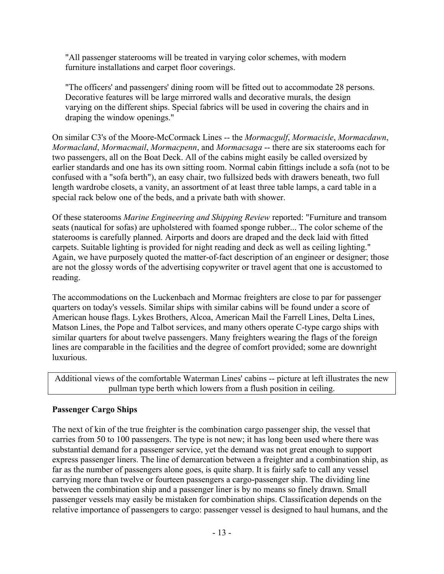"All passenger staterooms will be treated in varying color schemes, with modern furniture installations and carpet floor coverings.

"The officers' and passengers' dining room will be fitted out to accommodate 28 persons. Decorative features will be large mirrored walls and decorative murals, the design varying on the different ships. Special fabrics will be used in covering the chairs and in draping the window openings."

On similar C3's of the Moore-McCormack Lines -- the *Mormacgulf*, *Mormacisle*, *Mormacdawn*, *Mormacland*, *Mormacmail*, *Mormacpenn*, and *Mormacsaga* -- there are six staterooms each for two passengers, all on the Boat Deck. All of the cabins might easily be called oversized by earlier standards and one has its own sitting room. Normal cabin fittings include a sofa (not to be confused with a "sofa berth"), an easy chair, two fullsized beds with drawers beneath, two full length wardrobe closets, a vanity, an assortment of at least three table lamps, a card table in a special rack below one of the beds, and a private bath with shower.

Of these staterooms *Marine Engineering and Shipping Review* reported: "Furniture and transom seats (nautical for sofas) are upholstered with foamed sponge rubber... The color scheme of the staterooms is carefully planned. Airports and doors are draped and the deck laid with fitted carpets. Suitable lighting is provided for night reading and deck as well as ceiling lighting." Again, we have purposely quoted the matter-of-fact description of an engineer or designer; those are not the glossy words of the advertising copywriter or travel agent that one is accustomed to reading.

The accommodations on the Luckenbach and Mormac freighters are close to par for passenger quarters on today's vessels. Similar ships with similar cabins will be found under a score of American house flags. Lykes Brothers, Alcoa, American Mail the Farrell Lines, Delta Lines, Matson Lines, the Pope and Talbot services, and many others operate C-type cargo ships with similar quarters for about twelve passengers. Many freighters wearing the flags of the foreign lines are comparable in the facilities and the degree of comfort provided; some are downright luxurious.

Additional views of the comfortable Waterman Lines' cabins -- picture at left illustrates the new pullman type berth which lowers from a flush position in ceiling.

## **Passenger Cargo Ships**

The next of kin of the true freighter is the combination cargo passenger ship, the vessel that carries from 50 to 100 passengers. The type is not new; it has long been used where there was substantial demand for a passenger service, yet the demand was not great enough to support express passenger liners. The line of demarcation between a freighter and a combination ship, as far as the number of passengers alone goes, is quite sharp. It is fairly safe to call any vessel carrying more than twelve or fourteen passengers a cargo-passenger ship. The dividing line between the combination ship and a passenger liner is by no means so finely drawn. Small passenger vessels may easily be mistaken for combination ships. Classification depends on the relative importance of passengers to cargo: passenger vessel is designed to haul humans, and the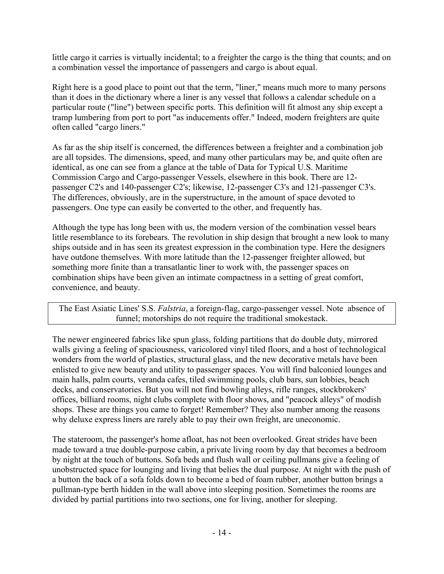little cargo it carries is virtually incidental; to a freighter the cargo is the thing that counts; and on a combination vessel the importance of passengers and cargo is about equal.

Right here is a good place to point out that the term, "liner," means much more to many persons than it does in the dictionary where a liner is any vessel that follows a calendar schedule on a particular route ("line") between specific ports. This definition will fit almost any ship except a tramp lumbering from port to port "as inducements offer." Indeed, modern freighters are quite often called "cargo liners."

As far as the ship itself is concerned, the differences between a freighter and a combination job are all topsides. The dimensions, speed, and many other particulars may be, and quite often are identical, as one can see from a glance at the table of Data for Typical U.S. Maritime Commission Cargo and Cargo-passenger Vessels, elsewhere in this book. There are 12 passenger C2's and 140-passenger C2's; likewise, 12-passenger C3's and 121-passenger C3's. The differences, obviously, are in the superstructure, in the amount of space devoted to passengers. One type can easily be converted to the other, and frequently has.

Although the type has long been with us, the modern version of the combination vessel bears little resemblance to its forebears. The revolution in ship design that brought a new look to many ships outside and in has seen its greatest expression in the combination type. Here the designers have outdone themselves. With more latitude than the 12-passenger freighter allowed, but something more finite than a transatlantic liner to work with, the passenger spaces on combination ships have been given an intimate compactness in a setting of great comfort, convenience, and beauty.

The East Asiatic Lines' S.S. *Falstria*, a foreign-flag, cargo-passenger vessel. Note absence of funnel; motorships do not require the traditional smokestack.

The newer engineered fabrics like spun glass, folding partitions that do double duty, mirrored walls giving a feeling of spaciousness, varicolored vinyl tiled floors, and a host of technological wonders from the world of plastics, structural glass, and the new decorative metals have been enlisted to give new beauty and utility to passenger spaces. You will find balconied lounges and main halls, palm courts, veranda cafes, tiled swimming pools, club bars, sun lobbies, beach decks, and conservatories. But you will not find bowling alleys, rifle ranges, stockbrokers' offices, billiard rooms, night clubs complete with floor shows, and "peacock alleys" of modish shops. These are things you came to forget! Remember? They also number among the reasons why deluxe express liners are rarely able to pay their own freight, are uneconomic.

The stateroom, the passenger's home afloat, has not been overlooked. Great strides have been made toward a true double-purpose cabin, a private living room by day that becomes a bedroom by night at the touch of buttons. Sofa beds and flush wall or ceiling pullmans give a feeling of unobstructed space for lounging and living that belies the dual purpose. At night with the push of a button the back of a sofa folds down to become a bed of foam rubber, another button brings a pullman-type berth hidden in the wall above into sleeping position. Sometimes the rooms are divided by partial partitions into two sections, one for living, another for sleeping.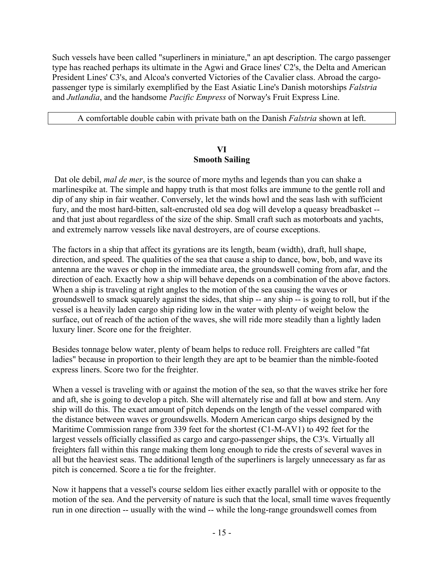Such vessels have been called "superliners in miniature," an apt description. The cargo passenger type has reached perhaps its ultimate in the Agwi and Grace lines' C2's, the Delta and American President Lines' C3's, and Alcoa's converted Victories of the Cavalier class. Abroad the cargopassenger type is similarly exemplified by the East Asiatic Line's Danish motorships *Falstria* and *Jutlandia*, and the handsome *Pacific Empress* of Norway's Fruit Express Line.

A comfortable double cabin with private bath on the Danish *Falstria* shown at left.

### **VI Smooth Sailing**

 Dat ole debil, *mal de mer*, is the source of more myths and legends than you can shake a marlinespike at. The simple and happy truth is that most folks are immune to the gentle roll and dip of any ship in fair weather. Conversely, let the winds howl and the seas lash with sufficient fury, and the most hard-bitten, salt-encrusted old sea dog will develop a queasy breadbasket - and that just about regardless of the size of the ship. Small craft such as motorboats and yachts, and extremely narrow vessels like naval destroyers, are of course exceptions.

The factors in a ship that affect its gyrations are its length, beam (width), draft, hull shape, direction, and speed. The qualities of the sea that cause a ship to dance, bow, bob, and wave its antenna are the waves or chop in the immediate area, the groundswell coming from afar, and the direction of each. Exactly how a ship will behave depends on a combination of the above factors. When a ship is traveling at right angles to the motion of the sea causing the waves or groundswell to smack squarely against the sides, that ship -- any ship -- is going to roll, but if the vessel is a heavily laden cargo ship riding low in the water with plenty of weight below the surface, out of reach of the action of the waves, she will ride more steadily than a lightly laden luxury liner. Score one for the freighter.

Besides tonnage below water, plenty of beam helps to reduce roll. Freighters are called "fat ladies" because in proportion to their length they are apt to be beamier than the nimble-footed express liners. Score two for the freighter.

When a vessel is traveling with or against the motion of the sea, so that the waves strike her fore and aft, she is going to develop a pitch. She will alternately rise and fall at bow and stern. Any ship will do this. The exact amount of pitch depends on the length of the vessel compared with the distance between waves or groundswells. Modern American cargo ships designed by the Maritime Commission range from 339 feet for the shortest (C1-M-AV1) to 492 feet for the largest vessels officially classified as cargo and cargo-passenger ships, the C3's. Virtually all freighters fall within this range making them long enough to ride the crests of several waves in all but the heaviest seas. The additional length of the superliners is largely unnecessary as far as pitch is concerned. Score a tie for the freighter.

Now it happens that a vessel's course seldom lies either exactly parallel with or opposite to the motion of the sea. And the perversity of nature is such that the local, small time waves frequently run in one direction -- usually with the wind -- while the long-range groundswell comes from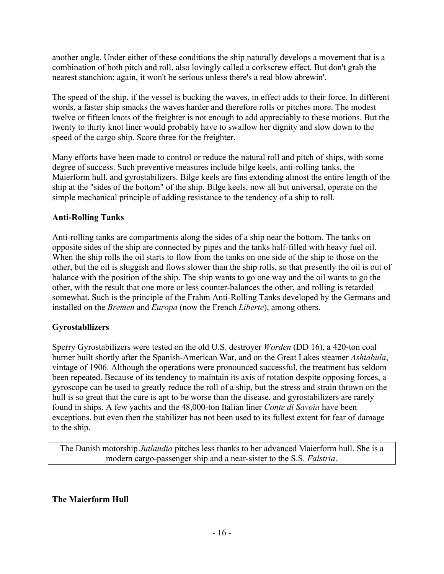another angle. Under either of these conditions the ship naturally develops a movement that is a combination of both pitch and roll, also lovingly called a corkscrew effect. But don't grab the nearest stanchion; again, it won't be serious unless there's a real blow abrewin'.

The speed of the ship, if the vessel is bucking the waves, in effect adds to their force. In different words, a faster ship smacks the waves harder and therefore rolls or pitches more. The modest twelve or fifteen knots of the freighter is not enough to add appreciably to these motions. But the twenty to thirty knot liner would probably have to swallow her dignity and slow down to the speed of the cargo ship. Score three for the freighter.

Many efforts have been made to control or reduce the natural roll and pitch of ships, with some degree of success. Such preventive measures include bilge keels, anti-rolling tanks, the Maierform hull, and gyrostabilizers. Bilge keels are fins extending almost the entire length of the ship at the "sides of the bottom" of the ship. Bilge keels, now all but universal, operate on the simple mechanical principle of adding resistance to the tendency of a ship to roll.

## **Anti-Rolling Tanks**

Anti-rolling tanks are compartments along the sides of a ship near the bottom. The tanks on opposite sides of the ship are connected by pipes and the tanks half-filled with heavy fuel oil. When the ship rolls the oil starts to flow from the tanks on one side of the ship to those on the other, but the oil is sluggish and flows slower than the ship rolls, so that presently the oil is out of balance with the position of the ship. The ship wants to go one way and the oil wants to go the other, with the result that one more or less counter-balances the other, and rolling is retarded somewhat. Such is the principle of the Frahm Anti-Rolling Tanks developed by the Germans and installed on the *Bremen* and *Europa* (now the French *Liberte*), among others.

# **Gyrostabllizers**

Sperry Gyrostabilizers were tested on the old U.S. destroyer *Worden* (DD 16), a 420-ton coal burner built shortly after the Spanish-American War, and on the Great Lakes steamer *Ashtabula*, vintage of 1906. Although the operations were pronounced successful, the treatment has seldom been repeated. Because of its tendency to maintain its axis of rotation despite opposing forces, a gyroscope can be used to greatly reduce the roll of a ship, but the stress and strain thrown on the hull is so great that the cure is apt to be worse than the disease, and gyrostabilizers are rarely found in ships. A few yachts and the 48,000-ton Italian liner *Conte di Savoia* have been exceptions, but even then the stabilizer has not been used to its fullest extent for fear of damage to the ship.

The Danish motorship *Jutlandia* pitches less thanks to her advanced Maierform hull. She is a modern cargo-passenger ship and a near-sister to the S.S. *Falstria*.

## **The Maierform Hull**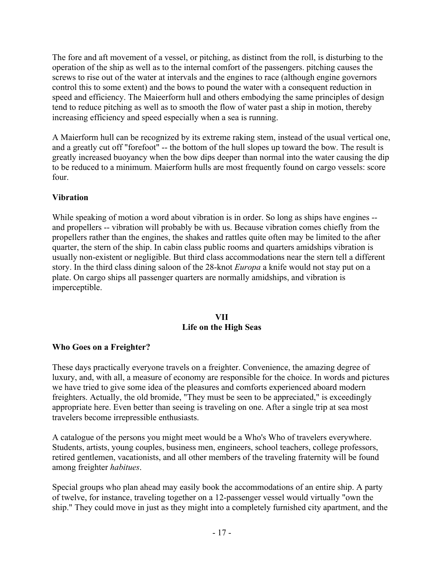The fore and aft movement of a vessel, or pitching, as distinct from the roll, is disturbing to the operation of the ship as well as to the internal comfort of the passengers. pitching causes the screws to rise out of the water at intervals and the engines to race (although engine governors control this to some extent) and the bows to pound the water with a consequent reduction in speed and efficiency. The Maieerform hull and others embodying the same principles of design tend to reduce pitching as well as to smooth the flow of water past a ship in motion, thereby increasing efficiency and speed especially when a sea is running.

A Maierform hull can be recognized by its extreme raking stem, instead of the usual vertical one, and a greatly cut off "forefoot" -- the bottom of the hull slopes up toward the bow. The result is greatly increased buoyancy when the bow dips deeper than normal into the water causing the dip to be reduced to a minimum. Maierform hulls are most frequently found on cargo vessels: score four.

## **Vibration**

While speaking of motion a word about vibration is in order. So long as ships have engines -and propellers -- vibration will probably be with us. Because vibration comes chiefly from the propellers rather than the engines, the shakes and rattles quite often may be limited to the after quarter, the stern of the ship. In cabin class public rooms and quarters amidships vibration is usually non-existent or negligible. But third class accommodations near the stern tell a different story. In the third class dining saloon of the 28-knot *Europa* a knife would not stay put on a plate. On cargo ships all passenger quarters are normally amidships, and vibration is imperceptible.

### **VII Life on the High Seas**

### **Who Goes on a Freighter?**

These days practically everyone travels on a freighter. Convenience, the amazing degree of luxury, and, with all, a measure of economy are responsible for the choice. In words and pictures we have tried to give some idea of the pleasures and comforts experienced aboard modern freighters. Actually, the old bromide, "They must be seen to be appreciated," is exceedingly appropriate here. Even better than seeing is traveling on one. After a single trip at sea most travelers become irrepressible enthusiasts.

A catalogue of the persons you might meet would be a Who's Who of travelers everywhere. Students, artists, young couples, business men, engineers, school teachers, college professors, retired gentlemen, vacationists, and all other members of the traveling fraternity will be found among freighter *habitues*.

Special groups who plan ahead may easily book the accommodations of an entire ship. A party of twelve, for instance, traveling together on a 12-passenger vessel would virtually "own the ship." They could move in just as they might into a completely furnished city apartment, and the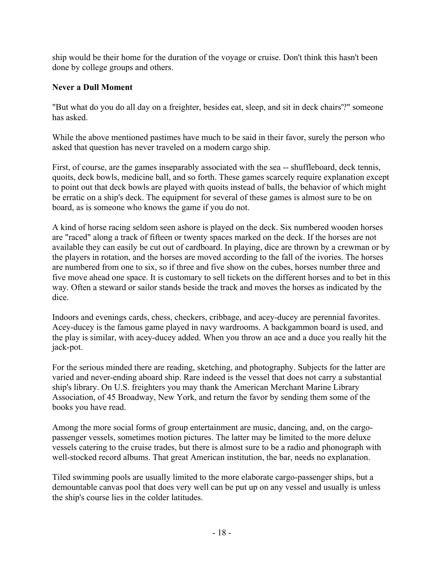ship would be their home for the duration of the voyage or cruise. Don't think this hasn't been done by college groups and others.

## **Never a Dull Moment**

"But what do you do all day on a freighter, besides eat, sleep, and sit in deck chairs'?" someone has asked.

While the above mentioned pastimes have much to be said in their favor, surely the person who asked that question has never traveled on a modern cargo ship.

First, of course, are the games inseparably associated with the sea -- shuffleboard, deck tennis, quoits, deck bowls, medicine ball, and so forth. These games scarcely require explanation except to point out that deck bowls are played with quoits instead of balls, the behavior of which might be erratic on a ship's deck. The equipment for several of these games is almost sure to be on board, as is someone who knows the game if you do not.

A kind of horse racing seldom seen ashore is played on the deck. Six numbered wooden horses are "raced" along a track of fifteen or twenty spaces marked on the deck. If the horses are not available they can easily be cut out of cardboard. In playing, dice are thrown by a crewman or by the players in rotation, and the horses are moved according to the fall of the ivories. The horses are numbered from one to six, so if three and five show on the cubes, horses number three and five move ahead one space. It is customary to sell tickets on the different horses and to bet in this way. Often a steward or sailor stands beside the track and moves the horses as indicated by the dice.

Indoors and evenings cards, chess, checkers, cribbage, and acey-ducey are perennial favorites. Acey-ducey is the famous game played in navy wardrooms. A backgammon board is used, and the play is similar, with acey-ducey added. When you throw an ace and a duce you really hit the jack-pot.

For the serious minded there are reading, sketching, and photography. Subjects for the latter are varied and never-ending aboard ship. Rare indeed is the vessel that does not carry a substantial ship's library. On U.S. freighters you may thank the American Merchant Marine Library Association, of 45 Broadway, New York, and return the favor by sending them some of the books you have read.

Among the more social forms of group entertainment are music, dancing, and, on the cargopassenger vessels, sometimes motion pictures. The latter may be limited to the more deluxe vessels catering to the cruise trades, but there is almost sure to be a radio and phonograph with well-stocked record albums. That great American institution, the bar, needs no explanation.

Tiled swimming pools are usually limited to the more elaborate cargo-passenger ships, but a demountable canvas pool that does very well can be put up on any vessel and usually is unless the ship's course lies in the colder latitudes.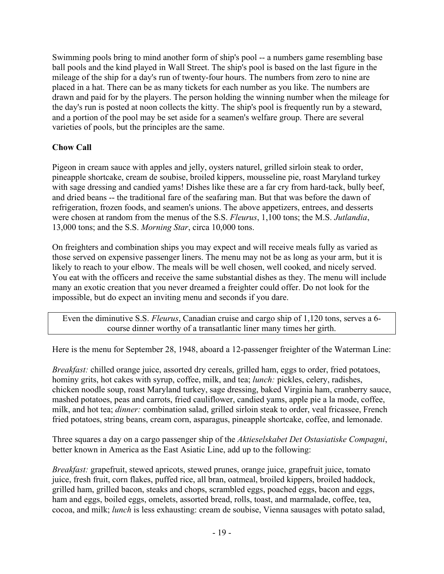Swimming pools bring to mind another form of ship's pool -- a numbers game resembling base ball pools and the kind played in Wall Street. The ship's pool is based on the last figure in the mileage of the ship for a day's run of twenty-four hours. The numbers from zero to nine are placed in a hat. There can be as many tickets for each number as you like. The numbers are drawn and paid for by the players. The person holding the winning number when the mileage for the day's run is posted at noon collects the kitty. The ship's pool is frequently run by a steward, and a portion of the pool may be set aside for a seamen's welfare group. There are several varieties of pools, but the principles are the same.

## **Chow Call**

Pigeon in cream sauce with apples and jelly, oysters naturel, grilled sirloin steak to order, pineapple shortcake, cream de soubise, broiled kippers, mousseline pie, roast Maryland turkey with sage dressing and candied yams! Dishes like these are a far cry from hard-tack, bully beef, and dried beans -- the traditional fare of the seafaring man. But that was before the dawn of refrigeration, frozen foods, and seamen's unions. The above appetizers, entrees, and desserts were chosen at random from the menus of the S.S. *Fleurus*, 1,100 tons; the M.S. *Jutlandia*, 13,000 tons; and the S.S. *Morning Star*, circa 10,000 tons.

On freighters and combination ships you may expect and will receive meals fully as varied as those served on expensive passenger liners. The menu may not be as long as your arm, but it is likely to reach to your elbow. The meals will be well chosen, well cooked, and nicely served. You eat with the officers and receive the same substantial dishes as they. The menu will include many an exotic creation that you never dreamed a freighter could offer. Do not look for the impossible, but do expect an inviting menu and seconds if you dare.

Even the diminutive S.S. *Fleurus*, Canadian cruise and cargo ship of 1,120 tons, serves a 6 course dinner worthy of a transatlantic liner many times her girth.

Here is the menu for September 28, 1948, aboard a 12-passenger freighter of the Waterman Line:

*Breakfast:* chilled orange juice, assorted dry cereals, grilled ham, eggs to order, fried potatoes, hominy grits, hot cakes with syrup, coffee, milk, and tea; *lunch:* pickles, celery, radishes, chicken noodle soup, roast Maryland turkey, sage dressing, baked Virginia ham, cranberry sauce, mashed potatoes, peas and carrots, fried cauliflower, candied yams, apple pie a la mode, coffee, milk, and hot tea; *dinner:* combination salad, grilled sirloin steak to order, veal fricassee, French fried potatoes, string beans, cream corn, asparagus, pineapple shortcake, coffee, and lemonade.

Three squares a day on a cargo passenger ship of the *Aktieselskabet Det Ostasiatiske Compagni*, better known in America as the East Asiatic Line, add up to the following:

*Breakfast:* grapefruit, stewed apricots, stewed prunes, orange juice, grapefruit juice, tomato juice, fresh fruit, corn flakes, puffed rice, all bran, oatmeal, broiled kippers, broiled haddock, grilled ham, grilled bacon, steaks and chops, scrambled eggs, poached eggs, bacon and eggs, ham and eggs, boiled eggs, omelets, assorted bread, rolls, toast, and marmalade, coffee, tea, cocoa, and milk; *lunch* is less exhausting: cream de soubise, Vienna sausages with potato salad,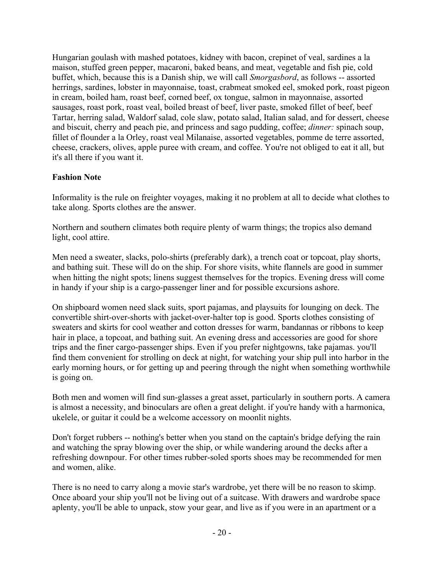Hungarian goulash with mashed potatoes, kidney with bacon, crepinet of veal, sardines a la maison, stuffed green pepper, macaroni, baked beans, and meat, vegetable and fish pie, cold buffet, which, because this is a Danish ship, we will call *Smorgasbord*, as follows -- assorted herrings, sardines, lobster in mayonnaise, toast, crabmeat smoked eel, smoked pork, roast pigeon in cream, boiled ham, roast beef, corned beef, ox tongue, salmon in mayonnaise, assorted sausages, roast pork, roast veal, boiled breast of beef, liver paste, smoked fillet of beef, beef Tartar, herring salad, Waldorf salad, cole slaw, potato salad, Italian salad, and for dessert, cheese and biscuit, cherry and peach pie, and princess and sago pudding, coffee; *dinner:* spinach soup, fillet of flounder a la Orley, roast veal Milanaise, assorted vegetables, pomme de terre assorted, cheese, crackers, olives, apple puree with cream, and coffee. You're not obliged to eat it all, but it's all there if you want it.

## **Fashion Note**

Informality is the rule on freighter voyages, making it no problem at all to decide what clothes to take along. Sports clothes are the answer.

Northern and southern climates both require plenty of warm things; the tropics also demand light, cool attire.

Men need a sweater, slacks, polo-shirts (preferably dark), a trench coat or topcoat, play shorts, and bathing suit. These will do on the ship. For shore visits, white flannels are good in summer when hitting the night spots; linens suggest themselves for the tropics. Evening dress will come in handy if your ship is a cargo-passenger liner and for possible excursions ashore.

On shipboard women need slack suits, sport pajamas, and playsuits for lounging on deck. The convertible shirt-over-shorts with jacket-over-halter top is good. Sports clothes consisting of sweaters and skirts for cool weather and cotton dresses for warm, bandannas or ribbons to keep hair in place, a topcoat, and bathing suit. An evening dress and accessories are good for shore trips and the finer cargo-passenger ships. Even if you prefer nightgowns, take pajamas. you'll find them convenient for strolling on deck at night, for watching your ship pull into harbor in the early morning hours, or for getting up and peering through the night when something worthwhile is going on.

Both men and women will find sun-glasses a great asset, particularly in southern ports. A camera is almost a necessity, and binoculars are often a great delight. if you're handy with a harmonica, ukelele, or guitar it could be a welcome accessory on moonlit nights.

Don't forget rubbers -- nothing's better when you stand on the captain's bridge defying the rain and watching the spray blowing over the ship, or while wandering around the decks after a refreshing downpour. For other times rubber-soled sports shoes may be recommended for men and women, alike.

There is no need to carry along a movie star's wardrobe, yet there will be no reason to skimp. Once aboard your ship you'll not be living out of a suitcase. With drawers and wardrobe space aplenty, you'll be able to unpack, stow your gear, and live as if you were in an apartment or a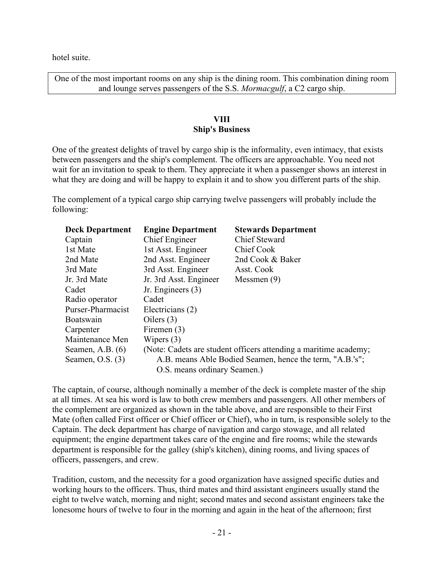hotel suite.

One of the most important rooms on any ship is the dining room. This combination dining room and lounge serves passengers of the S.S. *Mormacgulf*, a C2 cargo ship.

## **VIII Ship's Business**

One of the greatest delights of travel by cargo ship is the informality, even intimacy, that exists between passengers and the ship's complement. The officers are approachable. You need not wait for an invitation to speak to them. They appreciate it when a passenger shows an interest in what they are doing and will be happy to explain it and to show you different parts of the ship.

The complement of a typical cargo ship carrying twelve passengers will probably include the following:

| <b>Deck Department</b>       | <b>Engine Department</b>                                         | <b>Stewards Department</b> |  |  |
|------------------------------|------------------------------------------------------------------|----------------------------|--|--|
| Captain                      | Chief Engineer                                                   | <b>Chief Steward</b>       |  |  |
| 1st Mate                     | 1st Asst. Engineer                                               | Chief Cook                 |  |  |
| 2nd Mate                     | 2nd Asst. Engineer                                               | 2nd Cook & Baker           |  |  |
| 3rd Mate                     | 3rd Asst. Engineer                                               | Asst. Cook                 |  |  |
| Jr. 3rd Mate                 | Jr. 3rd Asst. Engineer                                           | Messmen $(9)$              |  |  |
| Cadet                        | Jr. Engineers (3)                                                |                            |  |  |
| Radio operator               | Cadet                                                            |                            |  |  |
| Purser-Pharmacist            | Electricians (2)                                                 |                            |  |  |
| Boatswain                    | Oilers $(3)$                                                     |                            |  |  |
| Carpenter                    | Firemen (3)                                                      |                            |  |  |
| Maintenance Men              | Wipers $(3)$                                                     |                            |  |  |
| Seamen, A.B. $(6)$           | (Note: Cadets are student officers attending a maritime academy; |                            |  |  |
| Seamen, O.S. $(3)$           | A.B. means Able Bodied Seamen, hence the term, "A.B.'s";         |                            |  |  |
| O.S. means ordinary Seamen.) |                                                                  |                            |  |  |

The captain, of course, although nominally a member of the deck is complete master of the ship at all times. At sea his word is law to both crew members and passengers. All other members of the complement are organized as shown in the table above, and are responsible to their First Mate (often called First officer or Chief officer or Chief), who in turn, is responsible solely to the Captain. The deck department has charge of navigation and cargo stowage, and all related equipment; the engine department takes care of the engine and fire rooms; while the stewards department is responsible for the galley (ship's kitchen), dining rooms, and living spaces of officers, passengers, and crew.

Tradition, custom, and the necessity for a good organization have assigned specific duties and working hours to the officers. Thus, third mates and third assistant engineers usually stand the eight to twelve watch, morning and night; second mates and second assistant engineers take the lonesome hours of twelve to four in the morning and again in the heat of the afternoon; first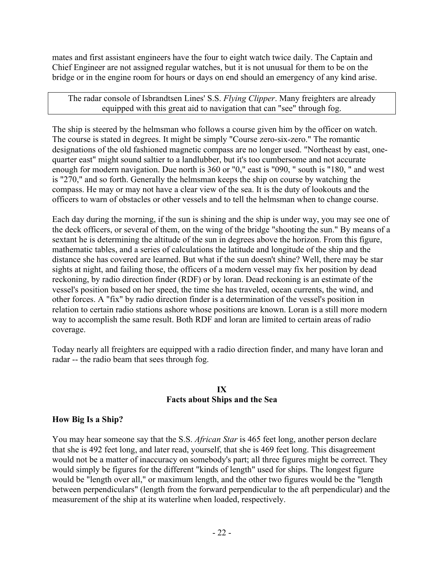mates and first assistant engineers have the four to eight watch twice daily. The Captain and Chief Engineer are not assigned regular watches, but it is not unusual for them to be on the bridge or in the engine room for hours or days on end should an emergency of any kind arise.

The radar console of Isbrandtsen Lines' S.S. *Flying Clipper*. Many freighters are already equipped with this great aid to navigation that can "see" through fog.

The ship is steered by the helmsman who follows a course given him by the officer on watch. The course is stated in degrees. It might be simply "Course zero-six-zero." The romantic designations of the old fashioned magnetic compass are no longer used. "Northeast by east, onequarter east" might sound saltier to a landlubber, but it's too cumbersome and not accurate enough for modern navigation. Due north is 360 or "0," east is "090, " south is "180, " and west is "270," and so forth. Generally the helmsman keeps the ship on course by watching the compass. He may or may not have a clear view of the sea. It is the duty of lookouts and the officers to warn of obstacles or other vessels and to tell the helmsman when to change course.

Each day during the morning, if the sun is shining and the ship is under way, you may see one of the deck officers, or several of them, on the wing of the bridge "shooting the sun." By means of a sextant he is determining the altitude of the sun in degrees above the horizon. From this figure, mathematic tables, and a series of calculations the latitude and longitude of the ship and the distance she has covered are learned. But what if the sun doesn't shine? Well, there may be star sights at night, and failing those, the officers of a modern vessel may fix her position by dead reckoning, by radio direction finder (RDF) or by loran. Dead reckoning is an estimate of the vessel's position based on her speed, the time she has traveled, ocean currents, the wind, and other forces. A "fix" by radio direction finder is a determination of the vessel's position in relation to certain radio stations ashore whose positions are known. Loran is a still more modern way to accomplish the same result. Both RDF and loran are limited to certain areas of radio coverage.

Today nearly all freighters are equipped with a radio direction finder, and many have loran and radar -- the radio beam that sees through fog.

### **IX Facts about Ships and the Sea**

## **How Big Is a Ship?**

You may hear someone say that the S.S. *African Star* is 465 feet long, another person declare that she is 492 feet long, and later read, yourself, that she is 469 feet long. This disagreement would not be a matter of inaccuracy on somebody's part; all three figures might be correct. They would simply be figures for the different "kinds of length" used for ships. The longest figure would be "length over all," or maximum length, and the other two figures would be the "length between perpendiculars" (length from the forward perpendicular to the aft perpendicular) and the measurement of the ship at its waterline when loaded, respectively.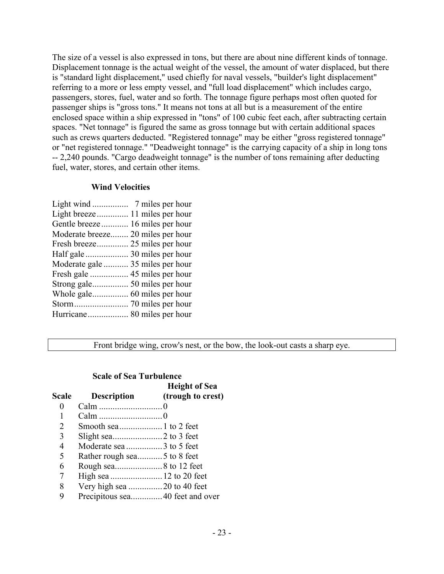The size of a vessel is also expressed in tons, but there are about nine different kinds of tonnage. Displacement tonnage is the actual weight of the vessel, the amount of water displaced, but there is "standard light displacement," used chiefly for naval vessels, "builder's light displacement" referring to a more or less empty vessel, and "full load displacement" which includes cargo, passengers, stores, fuel, water and so forth. The tonnage figure perhaps most often quoted for passenger ships is "gross tons." It means not tons at all but is a measurement of the entire enclosed space within a ship expressed in "tons" of 100 cubic feet each, after subtracting certain spaces. "Net tonnage" is figured the same as gross tonnage but with certain additional spaces such as crews quarters deducted. "Registered tonnage" may be either "gross registered tonnage" or "net registered tonnage." "Deadweight tonnage" is the carrying capacity of a ship in long tons -- 2,240 pounds. "Cargo deadweight tonnage" is the number of tons remaining after deducting fuel, water, stores, and certain other items.

### **Wind Velocities**

| Gentle breeze 16 miles per hour   |  |
|-----------------------------------|--|
| Moderate breeze 20 miles per hour |  |
| Fresh breeze 25 miles per hour    |  |
|                                   |  |
| Moderate gale  35 miles per hour  |  |
|                                   |  |
|                                   |  |
|                                   |  |
|                                   |  |
|                                   |  |
|                                   |  |

Front bridge wing, crow's nest, or the bow, the look-out casts a sharp eye.

**HEIGHT OF SEA** 

### **Scale of Sea Turbulence**

|       |                             | <b>Height</b> of Sea |
|-------|-----------------------------|----------------------|
| Scale | <b>Description</b>          | (trough to crest)    |
| 0     |                             |                      |
|       |                             |                      |
| 2     |                             |                      |
| 3     |                             |                      |
| 4     |                             |                      |
| 5     | Rather rough sea5 to 8 feet |                      |
| 6     |                             |                      |
| 7     |                             |                      |
| 8     |                             |                      |
| 9     |                             |                      |
|       |                             |                      |